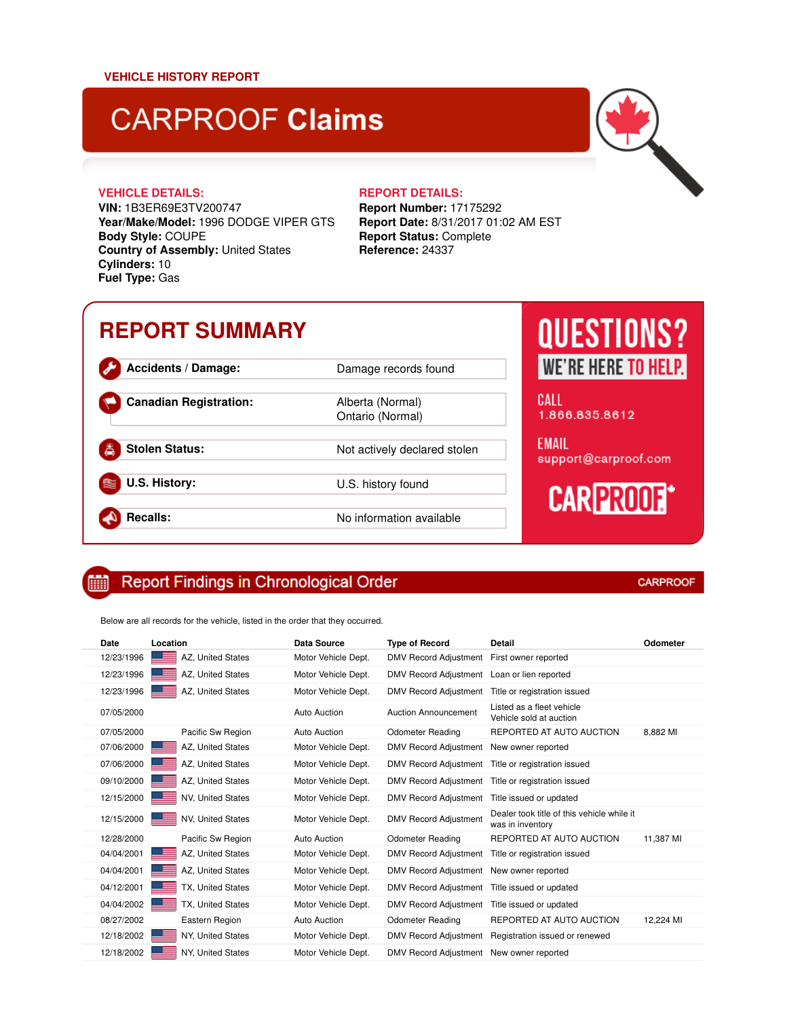# **CARPROOF Claims**

**VIN:** 1B3ER69E3TV200747 **Year/Make/Model:** 1996 DODGE VIPER GTS **Body Style:** COUPE **Country of Assembly:** United States **Cylinders:** 10 **Fuel Type:** Gas

### **VEHICLE DETAILS: REPORT DETAILS:**

Ontario (Normal)

**Report Number:** 17175292 **Report Date:** 8/31/2017 01:02 AM EST **Report Status:** Complete **Reference:** 24337

## **REPORT SUMMARY**

**Accidents / Damage:** Damage records found **Canadian Registration:** Alberta (Normal) **Stolen Status:** Not actively declared stolen **U.S. History:** U.S. history found

**Recalls:** No information available

## **QUESTIONS? WE'RE HERE TO HELP.**

CALL 1.866.835.8612

**EMAIL** support@carproof.com

# **CARPROOF\***

#### **Report Findings in Chronological Order** 酾

Below are all records for the vehicle, listed in the order that they occurred.

| Date       | Location                 | <b>Data Source</b>  | <b>Type of Record</b>        | Detail                                                         | Odometer  |
|------------|--------------------------|---------------------|------------------------------|----------------------------------------------------------------|-----------|
| 12/23/1996 | AZ, United States        | Motor Vehicle Dept. | <b>DMV Record Adjustment</b> | First owner reported                                           |           |
| 12/23/1996 | AZ, United States        | Motor Vehicle Dept. | <b>DMV Record Adjustment</b> | Loan or lien reported                                          |           |
| 12/23/1996 | AZ, United States        | Motor Vehicle Dept. | <b>DMV Record Adjustment</b> | Title or registration issued                                   |           |
| 07/05/2000 |                          | Auto Auction        | <b>Auction Announcement</b>  | Listed as a fleet vehicle<br>Vehicle sold at auction           |           |
| 07/05/2000 | Pacific Sw Region        | Auto Auction        | <b>Odometer Reading</b>      | REPORTED AT AUTO AUCTION                                       | 8.882 MI  |
| 07/06/2000 | AZ, United States        | Motor Vehicle Dept. | <b>DMV Record Adjustment</b> | New owner reported                                             |           |
| 07/06/2000 | AZ. United States        | Motor Vehicle Dept. | <b>DMV Record Adjustment</b> | Title or registration issued                                   |           |
| 09/10/2000 | AZ, United States        | Motor Vehicle Dept. | <b>DMV Record Adjustment</b> | Title or registration issued                                   |           |
| 12/15/2000 | <b>NV, United States</b> | Motor Vehicle Dept. | <b>DMV Record Adjustment</b> | Title issued or updated                                        |           |
| 12/15/2000 | NV, United States        | Motor Vehicle Dept. | <b>DMV Record Adjustment</b> | Dealer took title of this vehicle while it<br>was in inventory |           |
| 12/28/2000 | Pacific Sw Region        | Auto Auction        | <b>Odometer Reading</b>      | REPORTED AT AUTO AUCTION                                       | 11,387 MI |
| 04/04/2001 | AZ, United States        | Motor Vehicle Dept. | <b>DMV Record Adjustment</b> | Title or registration issued                                   |           |
| 04/04/2001 | AZ, United States        | Motor Vehicle Dept. | <b>DMV Record Adjustment</b> | New owner reported                                             |           |
| 04/12/2001 | TX, United States        | Motor Vehicle Dept. | <b>DMV Record Adjustment</b> | Title issued or updated                                        |           |
| 04/04/2002 | TX, United States        | Motor Vehicle Dept. | <b>DMV Record Adjustment</b> | Title issued or updated                                        |           |
| 08/27/2002 | Eastern Region           | Auto Auction        | <b>Odometer Reading</b>      | REPORTED AT AUTO AUCTION                                       | 12,224 MI |
| 12/18/2002 | NY, United States        | Motor Vehicle Dept. | <b>DMV Record Adjustment</b> | Registration issued or renewed                                 |           |
| 12/18/2002 | NY. United States        | Motor Vehicle Dept. | DMV Record Adjustment        | New owner reported                                             |           |

### **CARPROOF**

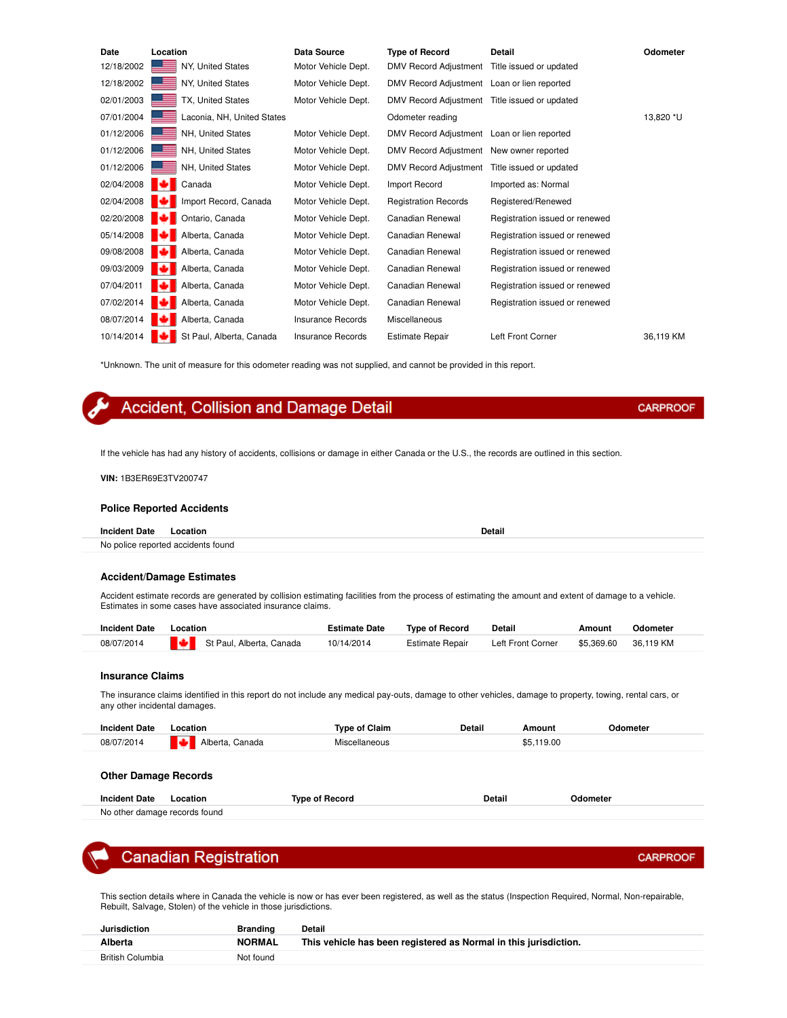| Date       | Location                   | <b>Data Source</b>       | <b>Type of Record</b>                         | Detail                         | Odometer  |
|------------|----------------------------|--------------------------|-----------------------------------------------|--------------------------------|-----------|
| 12/18/2002 | NY, United States          | Motor Vehicle Dept.      | DMV Record Adjustment                         | Title issued or updated        |           |
| 12/18/2002 | NY, United States          | Motor Vehicle Dept.      | DMV Record Adjustment Loan or lien reported   |                                |           |
| 02/01/2003 | TX, United States          | Motor Vehicle Dept.      | DMV Record Adjustment Title issued or updated |                                |           |
| 07/01/2004 | Laconia, NH, United States |                          | Odometer reading                              |                                | 13,820 *U |
| 01/12/2006 | NH, United States          | Motor Vehicle Dept.      | DMV Record Adjustment Loan or lien reported   |                                |           |
| 01/12/2006 | NH, United States          | Motor Vehicle Dept.      | DMV Record Adjustment New owner reported      |                                |           |
| 01/12/2006 | NH, United States          | Motor Vehicle Dept.      | DMV Record Adjustment Title issued or updated |                                |           |
| 02/04/2008 | Canada                     | Motor Vehicle Dept.      | Import Record                                 | Imported as: Normal            |           |
| 02/04/2008 | Import Record, Canada      | Motor Vehicle Dept.      | <b>Registration Records</b>                   | Registered/Renewed             |           |
| 02/20/2008 | Ontario, Canada            | Motor Vehicle Dept.      | Canadian Renewal                              | Registration issued or renewed |           |
| 05/14/2008 | Alberta, Canada            | Motor Vehicle Dept.      | Canadian Renewal                              | Registration issued or renewed |           |
| 09/08/2008 | Alberta, Canada            | Motor Vehicle Dept.      | Canadian Renewal                              | Registration issued or renewed |           |
| 09/03/2009 | Alberta, Canada            | Motor Vehicle Dept.      | Canadian Renewal                              | Registration issued or renewed |           |
| 07/04/2011 | Alberta, Canada            | Motor Vehicle Dept.      | Canadian Renewal                              | Registration issued or renewed |           |
| 07/02/2014 | Alberta, Canada            | Motor Vehicle Dept.      | Canadian Renewal                              | Registration issued or renewed |           |
| 08/07/2014 | Alberta, Canada            | <b>Insurance Records</b> | Miscellaneous                                 |                                |           |
| 10/14/2014 | St Paul, Alberta, Canada   | <b>Insurance Records</b> | <b>Estimate Repair</b>                        | Left Front Corner              | 36,119 KM |

\*Unknown. The unit of measure for this odometer reading was not supplied, and cannot be provided in this report.

### Accident, Collision and Damage Detail

If the vehicle has had any history of accidents, collisions or damage in either Canada or the U.S., the records are outlined in this section.

#### **VIN:** 1B3ER69E3TV200747

#### **Police Reported Accidents**

| <b>Incident Date</b> | .ocation                           | Detail |
|----------------------|------------------------------------|--------|
|                      | No police reported accidents found |        |

#### **Accident/Damage Estimates**

Accident estimate records are generated by collision estimating facilities from the process of estimating the amount and extent of damage to a vehicle. Estimates in some cases have associated insurance claims.

| <b>Incident Date</b> | Location                 | <b>Estimate Date</b> | <b>Type of Record</b> | Detail                                 | Amount | Odometer |
|----------------------|--------------------------|----------------------|-----------------------|----------------------------------------|--------|----------|
| 08/07/2014           | St Paul, Alberta, Canada | 10/14/2014           | Estimate Repair       | Left Front Corner \$5,369.60 36,119 KM |        |          |

#### **Insurance Claims**

The insurance claims identified in this report do not include any medical pay-outs, damage to other vehicles, damage to property, towing, rental cars, or any other incidental damages.

| <b>Incident Date</b> | Location               | <b>Type of Claim</b> | Detail<br>---- | Amount       | )dometer |
|----------------------|------------------------|----------------------|----------------|--------------|----------|
| 08/07/2014           | Lа.<br>Alberta, Canada | Miscellaneous        |                | 19.00<br>55. |          |

#### **Other Damage Records**

| <b>Incident Date</b>          | Location | Tvpe of Record | Detail | Odometer |
|-------------------------------|----------|----------------|--------|----------|
| No other damage records found |          |                |        |          |

### **Canadian Registration**

This section details where in Canada the vehicle is now or has ever been registered, as well as the status (Inspection Required, Normal, Non-repairable, Rebuilt, Salvage, Stolen) of the vehicle in those jurisdictions.

| <b>Jurisdiction</b>     | Branding      | Detail                                                           |
|-------------------------|---------------|------------------------------------------------------------------|
| Alberta                 | <b>NORMAL</b> | This vehicle has been registered as Normal in this jurisdiction. |
| <b>British Columbia</b> | Not found     |                                                                  |

**CARPROOF** 

**CARPROOF**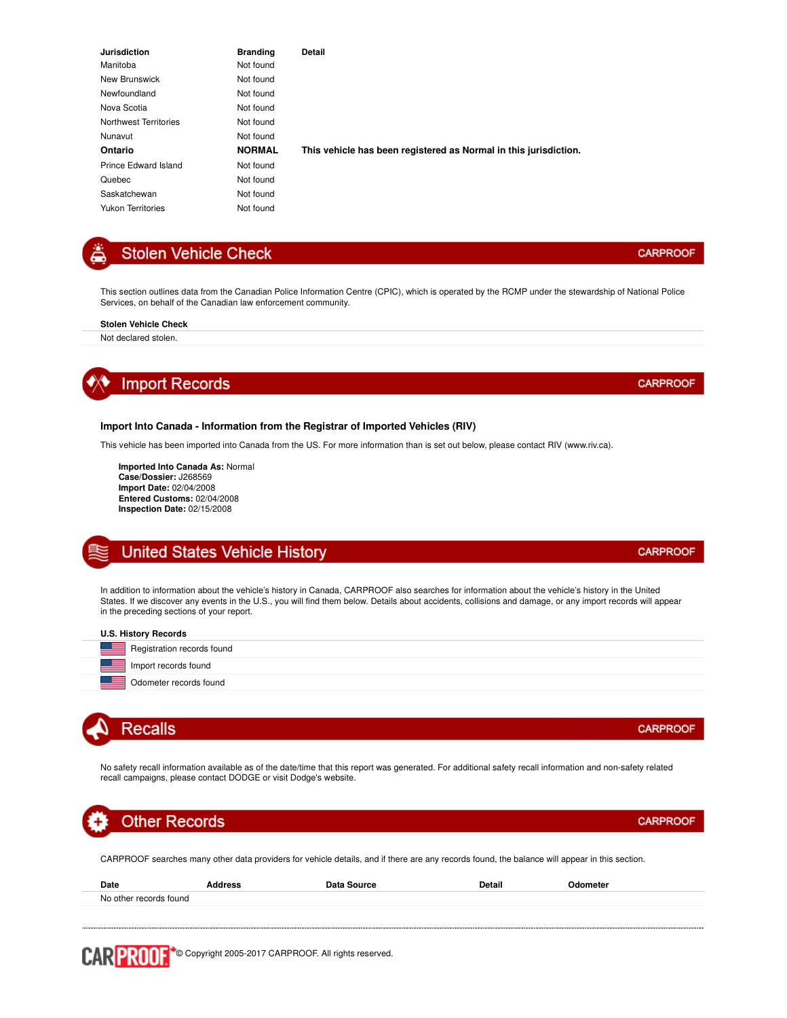| <b>Jurisdiction</b>      | <b>Branding</b> | Detail                                                           |
|--------------------------|-----------------|------------------------------------------------------------------|
| Manitoba                 | Not found       |                                                                  |
| New Brunswick            | Not found       |                                                                  |
| Newfoundland             | Not found       |                                                                  |
| Nova Scotia              | Not found       |                                                                  |
| Northwest Territories    | Not found       |                                                                  |
| Nunavut                  | Not found       |                                                                  |
| Ontario                  | <b>NORMAL</b>   | This vehicle has been registered as Normal in this jurisdiction. |
| Prince Edward Island     | Not found       |                                                                  |
| Quebec                   | Not found       |                                                                  |
| Saskatchewan             | Not found       |                                                                  |
| <b>Yukon Territories</b> | Not found       |                                                                  |

### **Stolen Vehicle Check**

This section outlines data from the Canadian Police Information Centre (CPIC), which is operated by the RCMP under the stewardship of National Police Services, on behalf of the Canadian law enforcement community.

#### **Stolen Vehicle Check**

Not declared stolen.



#### **Import Into Canada - Information from the Registrar of Imported Vehicles (RIV)**

This vehicle has been imported into Canada from the US. For more information than is set out below, please contact RIV (www.riv.ca).

**Imported Into Canada As:** Normal **Case/Dossier:** J268569 **Import Date:** 02/04/2008 **Entered Customs:** 02/04/2008 **Inspection Date:** 02/15/2008

### **United States Vehicle History**

In addition to information about the vehicle's history in Canada, CARPROOF also searches for information about the vehicle's history in the United States. If we discover any events in the U.S., you will find them below. Details about accidents, collisions and damage, or any import records will appear in the preceding sections of your report.

| <b>U.S. History Records</b>              |
|------------------------------------------|
| Registration records found<br>=          |
| Import records found<br><u>e de la p</u> |
| Odometer records found                   |



No safety recall information available as of the date/time that this report was generated. For additional safety recall information and non-safety related recall campaigns, please contact DODGE or visit Dodge's website.

## **Other Records**

CARPROOF searches many other data providers for vehicle details, and if there are any records found, the balance will appear in this section.

| Date                   | ddress | Data Source | <b>Detail</b> | Odometer |
|------------------------|--------|-------------|---------------|----------|
| No other records found |        |             |               |          |
|                        |        |             |               |          |

**CARPROOF** 

**CARPROOF** 

**CARPROOF** 

### **CARPROOF**

**CARPROOF**